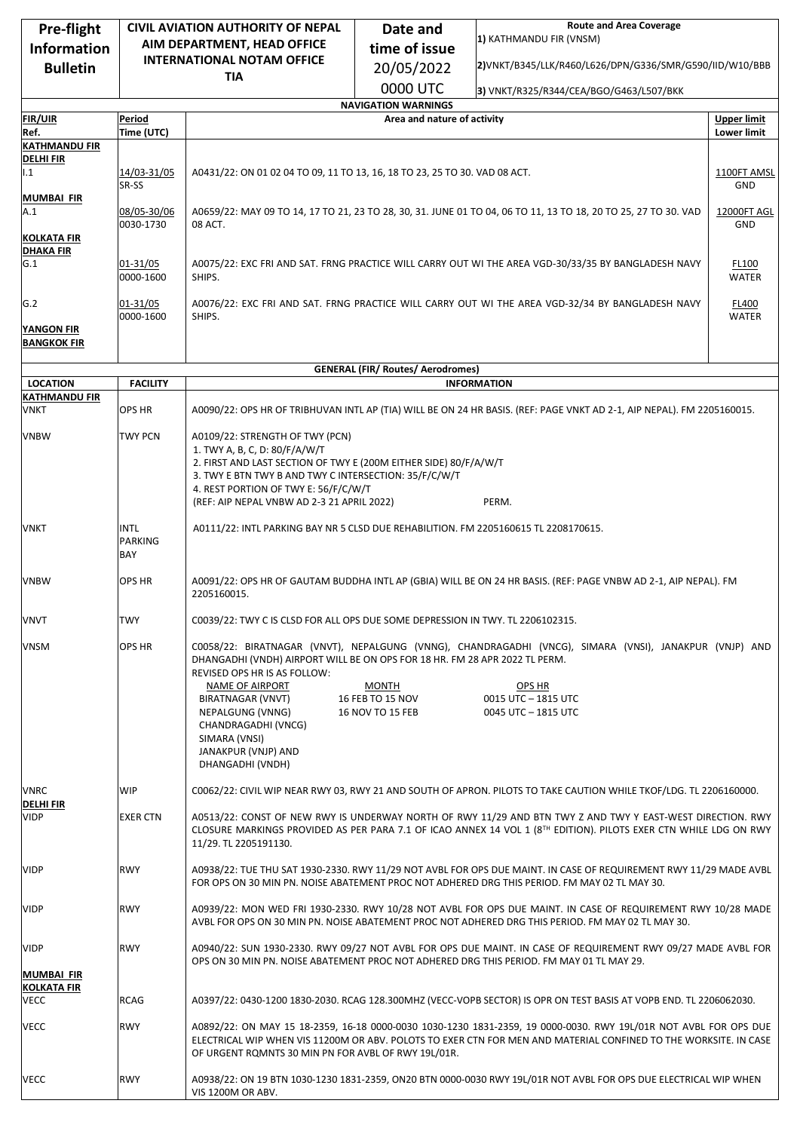| Pre-flight                             | <b>CIVIL AVIATION AUTHORITY OF NEPAL</b> |                                                                                                                                                                                                                                                                                              | <b>Route and Area Coverage</b><br>Date and                |                                                                                                                                                                |                    |  |  |
|----------------------------------------|------------------------------------------|----------------------------------------------------------------------------------------------------------------------------------------------------------------------------------------------------------------------------------------------------------------------------------------------|-----------------------------------------------------------|----------------------------------------------------------------------------------------------------------------------------------------------------------------|--------------------|--|--|
| <b>Information</b>                     | AIM DEPARTMENT, HEAD OFFICE              |                                                                                                                                                                                                                                                                                              | 1) KATHMANDU FIR (VNSM)<br>time of issue                  |                                                                                                                                                                |                    |  |  |
| <b>Bulletin</b>                        | <b>INTERNATIONAL NOTAM OFFICE</b>        |                                                                                                                                                                                                                                                                                              | 20/05/2022                                                | 2) VNKT/B345/LLK/R460/L626/DPN/G336/SMR/G590/IID/W10/BBB                                                                                                       |                    |  |  |
|                                        |                                          | <b>TIA</b>                                                                                                                                                                                                                                                                                   |                                                           |                                                                                                                                                                |                    |  |  |
|                                        |                                          |                                                                                                                                                                                                                                                                                              | 0000 UTC                                                  | 3) VNKT/R325/R344/CEA/BGO/G463/L507/BKK                                                                                                                        |                    |  |  |
| <b>FIR/UIR</b>                         | Period                                   |                                                                                                                                                                                                                                                                                              | <b>NAVIGATION WARNINGS</b><br>Area and nature of activity |                                                                                                                                                                | <b>Upper limit</b> |  |  |
| Ref.                                   | Time (UTC)                               |                                                                                                                                                                                                                                                                                              |                                                           |                                                                                                                                                                | <b>Lower limit</b> |  |  |
| <b>KATHMANDU FIR</b>                   |                                          |                                                                                                                                                                                                                                                                                              |                                                           |                                                                                                                                                                |                    |  |  |
| <b>DELHIFIR</b><br>1.1                 | 14/03-31/05<br>SR-SS                     | A0431/22: ON 01 02 04 TO 09, 11 TO 13, 16, 18 TO 23, 25 TO 30. VAD 08 ACT.<br>1100FT AMSL                                                                                                                                                                                                    |                                                           |                                                                                                                                                                |                    |  |  |
| <b>MUMBAI FIR</b><br>A.1               | 08/05-30/06<br>0030-1730                 | A0659/22: MAY 09 TO 14, 17 TO 21, 23 TO 28, 30, 31. JUNE 01 TO 04, 06 TO 11, 13 TO 18, 20 TO 25, 27 TO 30. VAD<br>08 ACT.                                                                                                                                                                    |                                                           |                                                                                                                                                                |                    |  |  |
| <b>KOLKATA FIR</b><br><b>DHAKA FIR</b> |                                          |                                                                                                                                                                                                                                                                                              |                                                           |                                                                                                                                                                |                    |  |  |
| G.1                                    | 01-31/05<br>0000-1600                    | A0075/22: EXC FRI AND SAT. FRNG PRACTICE WILL CARRY OUT WI THE AREA VGD-30/33/35 BY BANGLADESH NAVY<br>SHIPS.                                                                                                                                                                                |                                                           |                                                                                                                                                                |                    |  |  |
| G.2                                    | 01-31/05<br>0000-1600                    | A0076/22: EXC FRI AND SAT. FRNG PRACTICE WILL CARRY OUT WI THE AREA VGD-32/34 BY BANGLADESH NAVY<br><b>FL400</b><br>SHIPS.<br><b>WATER</b>                                                                                                                                                   |                                                           |                                                                                                                                                                |                    |  |  |
| YANGON FIR<br><b>BANGKOK FIR</b>       |                                          |                                                                                                                                                                                                                                                                                              |                                                           |                                                                                                                                                                |                    |  |  |
|                                        |                                          |                                                                                                                                                                                                                                                                                              | <b>GENERAL (FIR/ Routes/ Aerodromes)</b>                  |                                                                                                                                                                |                    |  |  |
| <b>LOCATION</b>                        | <b>FACILITY</b>                          |                                                                                                                                                                                                                                                                                              |                                                           | <b>INFORMATION</b>                                                                                                                                             |                    |  |  |
| <b>KATHMANDU FIR</b><br><b>VNKT</b>    | <b>OPS HR</b>                            | A0090/22: OPS HR OF TRIBHUVAN INTL AP (TIA) WILL BE ON 24 HR BASIS. (REF: PAGE VNKT AD 2-1, AIP NEPAL). FM 2205160015.                                                                                                                                                                       |                                                           |                                                                                                                                                                |                    |  |  |
| <b>VNBW</b>                            | TWY PCN                                  | A0109/22: STRENGTH OF TWY (PCN)<br>1. TWY A, B, C, D: 80/F/A/W/T<br>2. FIRST AND LAST SECTION OF TWY E (200M EITHER SIDE) 80/F/A/W/T<br>3. TWY E BTN TWY B AND TWY C INTERSECTION: 35/F/C/W/T<br>4. REST PORTION OF TWY E: 56/F/C/W/T<br>(REF: AIP NEPAL VNBW AD 2-3 21 APRIL 2022)<br>PERM. |                                                           |                                                                                                                                                                |                    |  |  |
| VNKT                                   | <b>INTL</b><br><b>PARKING</b><br>BAY     | A0111/22: INTL PARKING BAY NR 5 CLSD DUE REHABILITION. FM 2205160615 TL 2208170615.                                                                                                                                                                                                          |                                                           |                                                                                                                                                                |                    |  |  |
| <b>VNBW</b>                            | <b>OPS HR</b>                            | A0091/22: OPS HR OF GAUTAM BUDDHA INTL AP (GBIA) WILL BE ON 24 HR BASIS. (REF: PAGE VNBW AD 2-1, AIP NEPAL). FM<br>2205160015.                                                                                                                                                               |                                                           |                                                                                                                                                                |                    |  |  |
| <b>VNVT</b>                            | <b>TWY</b>                               | C0039/22: TWY C IS CLSD FOR ALL OPS DUE SOME DEPRESSION IN TWY. TL 2206102315.                                                                                                                                                                                                               |                                                           |                                                                                                                                                                |                    |  |  |
| <b>VNSM</b>                            | OPS HR                                   | DHANGADHI (VNDH) AIRPORT WILL BE ON OPS FOR 18 HR. FM 28 APR 2022 TL PERM.<br>REVISED OPS HR IS AS FOLLOW:<br>NAME OF AIRPORT<br>BIRATNAGAR (VNVT)<br>NEPALGUNG (VNNG)<br>CHANDRAGADHI (VNCG)<br>SIMARA (VNSI)<br>JANAKPUR (VNJP) AND<br>DHANGADHI (VNDH)                                    | <b>MONTH</b><br>16 FEB TO 15 NOV<br>16 NOV TO 15 FEB      | C0058/22: BIRATNAGAR (VNVT), NEPALGUNG (VNNG), CHANDRAGADHI (VNCG), SIMARA (VNSI), JANAKPUR (VNJP) AND<br>OPS HR<br>0015 UTC - 1815 UTC<br>0045 UTC - 1815 UTC |                    |  |  |
| VNRC                                   | <b>WIP</b>                               |                                                                                                                                                                                                                                                                                              |                                                           | C0062/22: CIVIL WIP NEAR RWY 03, RWY 21 AND SOUTH OF APRON. PILOTS TO TAKE CAUTION WHILE TKOF/LDG. TL 2206160000.                                              |                    |  |  |
| <b>DELHI FIR</b><br><b>VIDP</b>        | <b>EXER CTN</b>                          | A0513/22: CONST OF NEW RWY IS UNDERWAY NORTH OF RWY 11/29 AND BTN TWY Z AND TWY Y EAST-WEST DIRECTION. RWY<br>CLOSURE MARKINGS PROVIDED AS PER PARA 7.1 OF ICAO ANNEX 14 VOL 1 (8TH EDITION). PILOTS EXER CTN WHILE LDG ON RWY<br>11/29. TL 2205191130.                                      |                                                           |                                                                                                                                                                |                    |  |  |
| <b>VIDP</b>                            | <b>RWY</b>                               | A0938/22: TUE THU SAT 1930-2330. RWY 11/29 NOT AVBL FOR OPS DUE MAINT. IN CASE OF REQUIREMENT RWY 11/29 MADE AVBL<br>FOR OPS ON 30 MIN PN. NOISE ABATEMENT PROC NOT ADHERED DRG THIS PERIOD. FM MAY 02 TL MAY 30.                                                                            |                                                           |                                                                                                                                                                |                    |  |  |
| <b>VIDP</b>                            | <b>RWY</b>                               | A0939/22: MON WED FRI 1930-2330. RWY 10/28 NOT AVBL FOR OPS DUE MAINT. IN CASE OF REQUIREMENT RWY 10/28 MADE<br>AVBL FOR OPS ON 30 MIN PN. NOISE ABATEMENT PROC NOT ADHERED DRG THIS PERIOD. FM MAY 02 TL MAY 30.                                                                            |                                                           |                                                                                                                                                                |                    |  |  |
| <b>VIDP</b><br><b>MUMBAI FIR</b>       | <b>RWY</b>                               | A0940/22: SUN 1930-2330. RWY 09/27 NOT AVBL FOR OPS DUE MAINT. IN CASE OF REQUIREMENT RWY 09/27 MADE AVBL FOR<br>OPS ON 30 MIN PN. NOISE ABATEMENT PROC NOT ADHERED DRG THIS PERIOD. FM MAY 01 TL MAY 29.                                                                                    |                                                           |                                                                                                                                                                |                    |  |  |
| <b>KOLKATA FIR</b><br><b>VECC</b>      | <b>RCAG</b>                              | A0397/22: 0430-1200 1830-2030. RCAG 128.300MHZ (VECC-VOPB SECTOR) IS OPR ON TEST BASIS AT VOPB END. TL 2206062030.                                                                                                                                                                           |                                                           |                                                                                                                                                                |                    |  |  |
| <b>VECC</b>                            | <b>RWY</b>                               | A0892/22: ON MAY 15 18-2359, 16-18 0000-0030 1030-1230 1831-2359, 19 0000-0030. RWY 19L/01R NOT AVBL FOR OPS DUE<br>ELECTRICAL WIP WHEN VIS 11200M OR ABV. POLOTS TO EXER CTN FOR MEN AND MATERIAL CONFINED TO THE WORKSITE. IN CASE<br>OF URGENT ROMNTS 30 MIN PN FOR AVBL OF RWY 19L/01R.  |                                                           |                                                                                                                                                                |                    |  |  |
| VECC                                   | <b>RWY</b>                               | A0938/22: ON 19 BTN 1030-1230 1831-2359, ON20 BTN 0000-0030 RWY 19L/01R NOT AVBL FOR OPS DUE ELECTRICAL WIP WHEN<br>VIS 1200M OR ABV.                                                                                                                                                        |                                                           |                                                                                                                                                                |                    |  |  |